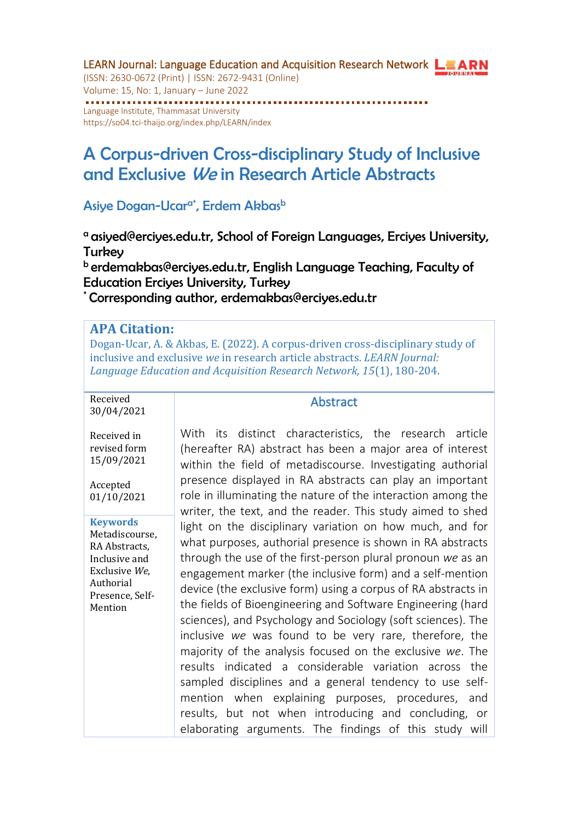LEARN Journal: Language Education and Acquisition Research Network LEARN (ISSN: 2630-0672 (Print) | ISSN: 2672-9431 (Online) Volume: 15, No: 1, January – June 2022 Language Institute, Thammasat University <https://so04.tci-thaijo.org/index.php/LEARN/index>

# A Corpus-driven Cross-disciplinary Study of Inclusive and Exclusive We in Research Article Abstracts

#### Asiye Dogan-Ucar<sup>a\*</sup>, Erdem Akbas<sup>b</sup>

<sup>a</sup> asiyed@erciyes.edu.tr, School of Foreign Languages, Erciyes University, **Turkey** 

b erdemakbas@erciyes.edu.tr, English Language Teaching, Faculty of Education Erciyes University, Turkey

\* Corresponding author, erdemakbas@erciyes.edu.tr

#### **APA Citation:**

Dogan-Ucar, A. & Akbas, E. (2022). A corpus-driven cross-disciplinary study of inclusive and exclusive *we* in research article abstracts. *LEARN Journal: Language Education and Acquisition Research Network, 15*(1), 180-204.

Received 30/04/2021

Received in revised form 15/09/2021

Accepted 01/10/2021

**Keywords** Metadiscourse, RA Abstracts, Inclusive and Exclusive *We*, Authorial Presence, Self-Mention

#### **Abstract**

With its distinct characteristics, the research article (hereafter RA) abstract has been a major area of interest within the field of metadiscourse. Investigating authorial presence displayed in RA abstracts can play an important role in illuminating the nature of the interaction among the writer, the text, and the reader. This study aimed to shed light on the disciplinary variation on how much, and for what purposes, authorial presence is shown in RA abstracts through the use of the first-person plural pronoun *we* as an engagement marker (the inclusive form) and a self-mention device (the exclusive form) using a corpus of RA abstracts in the fields of Bioengineering and Software Engineering (hard sciences), and Psychology and Sociology (soft sciences). The inclusive *we* was found to be very rare, therefore, the majority of the analysis focused on the exclusive *we*. The results indicated a considerable variation across the sampled disciplines and a general tendency to use selfmention when explaining purposes, procedures, and results, but not when introducing and concluding, or elaborating arguments. The findings of this study will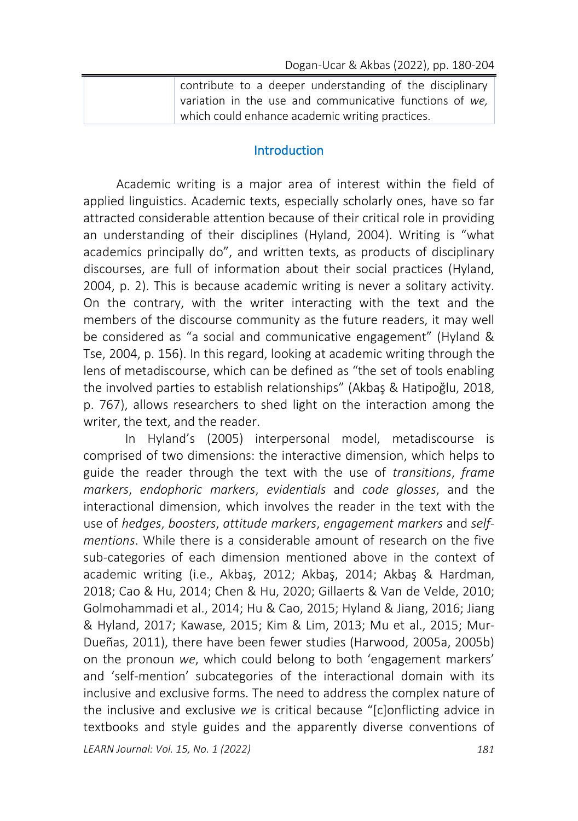| contribute to a deeper understanding of the disciplinary |
|----------------------------------------------------------|
| variation in the use and communicative functions of we,  |
| which could enhance academic writing practices.          |

#### **Introduction**

Academic writing is a major area of interest within the field of applied linguistics. Academic texts, especially scholarly ones, have so far attracted considerable attention because of their critical role in providing an understanding of their disciplines (Hyland, 2004). Writing is "what academics principally do", and written texts, as products of disciplinary discourses, are full of information about their social practices (Hyland, 2004, p. 2). This is because academic writing is never a solitary activity. On the contrary, with the writer interacting with the text and the members of the discourse community as the future readers, it may well be considered as "a social and communicative engagement" (Hyland & Tse, 2004, p. 156). In this regard, looking at academic writing through the lens of metadiscourse, which can be defined as "the set of tools enabling the involved parties to establish relationships" (Akbaş & Hatipoğlu, 2018, p. 767), allows researchers to shed light on the interaction among the writer, the text, and the reader.

In Hyland's (2005) interpersonal model, metadiscourse is comprised of two dimensions: the interactive dimension, which helps to guide the reader through the text with the use of *transitions*, *frame markers*, *endophoric markers*, *evidentials* and *code glosses*, and the interactional dimension, which involves the reader in the text with the use of *hedges*, *boosters*, *attitude markers*, *engagement markers* and *selfmentions*. While there is a considerable amount of research on the five sub-categories of each dimension mentioned above in the context of academic writing (i.e., Akbaş, 2012; Akbaş, 2014; Akbaş & Hardman, 2018; Cao & Hu, 2014; Chen & Hu, 2020; Gillaerts & Van de Velde, 2010; Golmohammadi et al., 2014; Hu & Cao, 2015; Hyland & Jiang, 2016; Jiang & Hyland, 2017; Kawase, 2015; Kim & Lim, 2013; Mu et al., 2015; Mur-Dueñas, 2011), there have been fewer studies (Harwood, 2005a, 2005b) on the pronoun *we*, which could belong to both 'engagement markers' and 'self-mention' subcategories of the interactional domain with its inclusive and exclusive forms. The need to address the complex nature of the inclusive and exclusive *we* is critical because "[c]onflicting advice in textbooks and style guides and the apparently diverse conventions of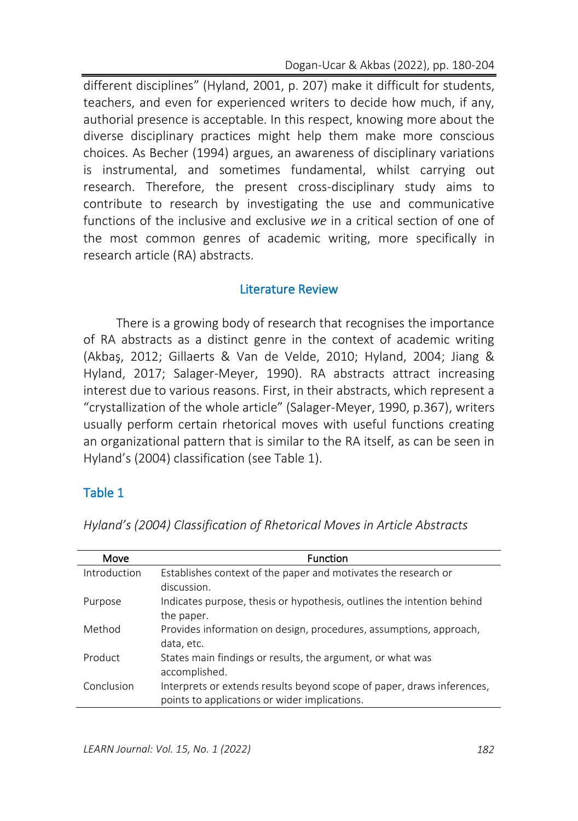different disciplines" (Hyland, 2001, p. 207) make it difficult for students, teachers, and even for experienced writers to decide how much, if any, authorial presence is acceptable. In this respect, knowing more about the diverse disciplinary practices might help them make more conscious choices. As Becher (1994) argues, an awareness of disciplinary variations is instrumental, and sometimes fundamental, whilst carrying out research. Therefore, the present cross-disciplinary study aims to contribute to research by investigating the use and communicative functions of the inclusive and exclusive *we* in a critical section of one of the most common genres of academic writing, more specifically in research article (RA) abstracts.

## Literature Review

There is a growing body of research that recognises the importance of RA abstracts as a distinct genre in the context of academic writing (Akbaş, 2012; Gillaerts & Van de Velde, 2010; Hyland, 2004; Jiang & Hyland, 2017; Salager-Meyer, 1990). RA abstracts attract increasing interest due to various reasons. First, in their abstracts, which represent a "crystallization of the whole article" (Salager-Meyer, 1990, p.367), writers usually perform certain rhetorical moves with useful functions creating an organizational pattern that is similar to the RA itself, as can be seen in Hyland's (2004) classification (see Table 1).

## Table 1

| Move         | <b>Function</b>                                                        |
|--------------|------------------------------------------------------------------------|
| Introduction | Establishes context of the paper and motivates the research or         |
|              | discussion.                                                            |
| Purpose      | Indicates purpose, thesis or hypothesis, outlines the intention behind |
|              | the paper.                                                             |
| Method       | Provides information on design, procedures, assumptions, approach,     |
|              | data, etc.                                                             |
| Product      | States main findings or results, the argument, or what was             |
|              | accomplished.                                                          |
| Conclusion   | Interprets or extends results beyond scope of paper, draws inferences, |
|              | points to applications or wider implications.                          |

*Hyland's (2004) Classification of Rhetorical Moves in Article Abstracts*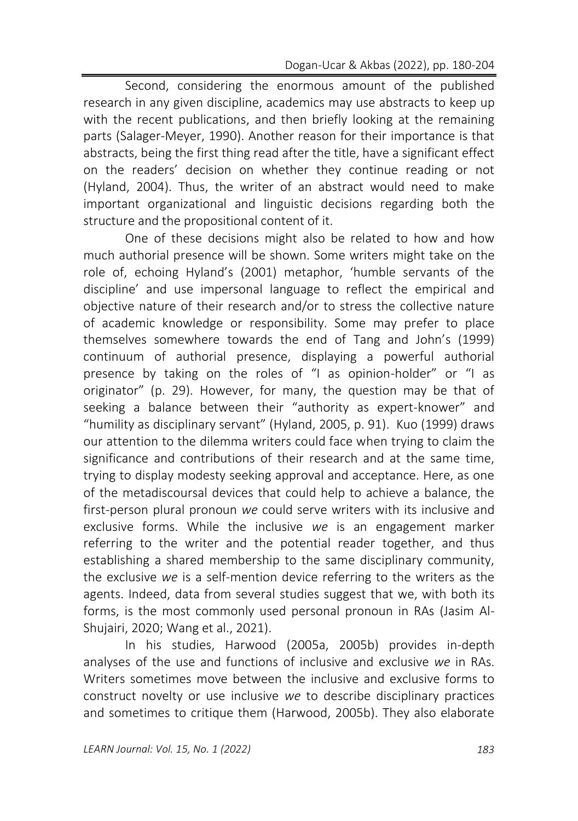Second, considering the enormous amount of the published research in any given discipline, academics may use abstracts to keep up with the recent publications, and then briefly looking at the remaining parts (Salager-Meyer, 1990). Another reason for their importance is that abstracts, being the first thing read after the title, have a significant effect on the readers' decision on whether they continue reading or not (Hyland, 2004). Thus, the writer of an abstract would need to make important organizational and linguistic decisions regarding both the structure and the propositional content of it.

One of these decisions might also be related to how and how much authorial presence will be shown. Some writers might take on the role of, echoing Hyland's (2001) metaphor, 'humble servants of the discipline' and use impersonal language to reflect the empirical and objective nature of their research and/or to stress the collective nature of academic knowledge or responsibility. Some may prefer to place themselves somewhere towards the end of Tang and John's (1999) continuum of authorial presence, displaying a powerful authorial presence by taking on the roles of "I as opinion-holder" or "I as originator" (p. 29). However, for many, the question may be that of seeking a balance between their "authority as expert-knower" and "humility as disciplinary servant" (Hyland, 2005, p. 91). Kuo (1999) draws our attention to the dilemma writers could face when trying to claim the significance and contributions of their research and at the same time, trying to display modesty seeking approval and acceptance. Here, as one of the metadiscoursal devices that could help to achieve a balance, the first-person plural pronoun *we* could serve writers with its inclusive and exclusive forms. While the inclusive *we* is an engagement marker referring to the writer and the potential reader together, and thus establishing a shared membership to the same disciplinary community, the exclusive *we* is a self-mention device referring to the writers as the agents. Indeed, data from several studies suggest that we, with both its forms, is the most commonly used personal pronoun in RAs (Jasim Al-Shujairi, 2020; Wang et al., 2021).

In his studies, Harwood (2005a, 2005b) provides in-depth analyses of the use and functions of inclusive and exclusive *we* in RAs. Writers sometimes move between the inclusive and exclusive forms to construct novelty or use inclusive *we* to describe disciplinary practices and sometimes to critique them (Harwood, 2005b). They also elaborate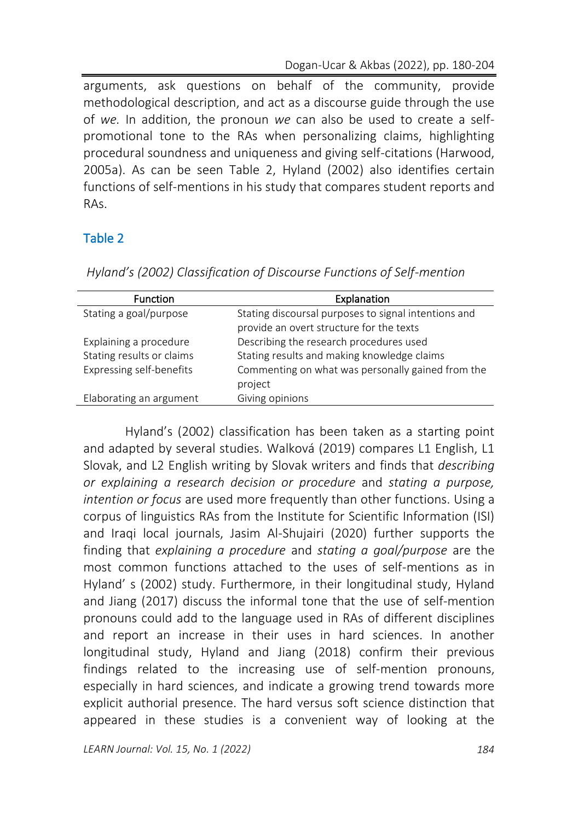arguments, ask questions on behalf of the community, provide methodological description, and act as a discourse guide through the use of *we.* In addition, the pronoun *we* can also be used to create a selfpromotional tone to the RAs when personalizing claims, highlighting procedural soundness and uniqueness and giving self-citations (Harwood, 2005a). As can be seen Table 2, Hyland (2002) also identifies certain functions of self-mentions in his study that compares student reports and RAs.

## Table 2

| <b>Function</b>                 | Explanation                                                                                      |
|---------------------------------|--------------------------------------------------------------------------------------------------|
| Stating a goal/purpose          | Stating discoursal purposes to signal intentions and<br>provide an overt structure for the texts |
| Explaining a procedure          | Describing the research procedures used                                                          |
| Stating results or claims       | Stating results and making knowledge claims                                                      |
| <b>Expressing self-benefits</b> | Commenting on what was personally gained from the<br>project                                     |
| Elaborating an argument         | Giving opinions                                                                                  |

*Hyland's (2002) Classification of Discourse Functions of Self-mention* 

Hyland's (2002) classification has been taken as a starting point and adapted by several studies. Walková (2019) compares L1 English, L1 Slovak, and L2 English writing by Slovak writers and finds that *describing or explaining a research decision or procedure* and *stating a purpose, intention or focus* are used more frequently than other functions. Using a corpus of linguistics RAs from the Institute for Scientific Information (ISI) and Iraqi local journals, Jasim Al-Shujairi (2020) further supports the finding that *explaining a procedure* and *stating a goal/purpose* are the most common functions attached to the uses of self-mentions as in Hyland' s (2002) study. Furthermore, in their longitudinal study, Hyland and Jiang (2017) discuss the informal tone that the use of self-mention pronouns could add to the language used in RAs of different disciplines and report an increase in their uses in hard sciences. In another longitudinal study, Hyland and Jiang (2018) confirm their previous findings related to the increasing use of self-mention pronouns, especially in hard sciences, and indicate a growing trend towards more explicit authorial presence. The hard versus soft science distinction that appeared in these studies is a convenient way of looking at the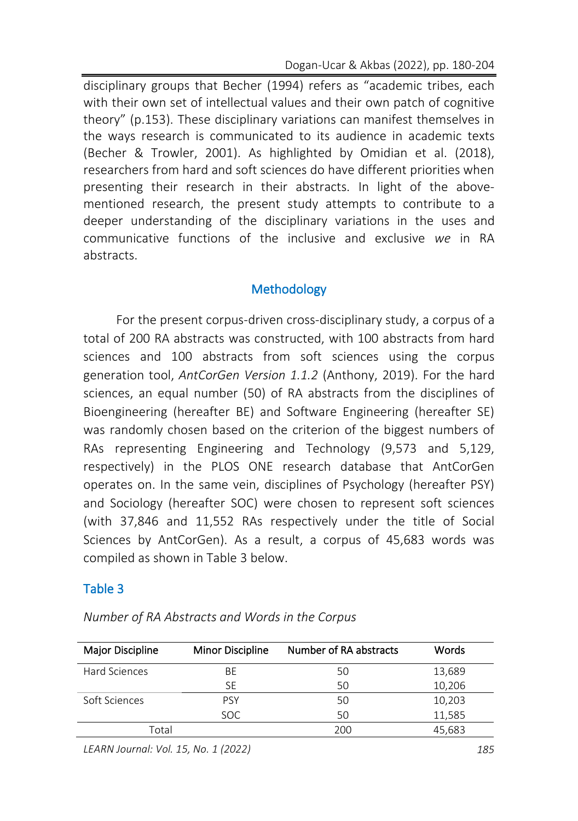disciplinary groups that Becher (1994) refers as "academic tribes, each with their own set of intellectual values and their own patch of cognitive theory" (p.153). These disciplinary variations can manifest themselves in the ways research is communicated to its audience in academic texts (Becher & Trowler, 2001). As highlighted by Omidian et al. (2018), researchers from hard and soft sciences do have different priorities when presenting their research in their abstracts. In light of the abovementioned research, the present study attempts to contribute to a deeper understanding of the disciplinary variations in the uses and communicative functions of the inclusive and exclusive *we* in RA abstracts.

## **Methodology**

For the present corpus-driven cross-disciplinary study, a corpus of a total of 200 RA abstracts was constructed, with 100 abstracts from hard sciences and 100 abstracts from soft sciences using the corpus generation tool, *AntCorGen Version 1.1.2* (Anthony, 2019). For the hard sciences, an equal number (50) of RA abstracts from the disciplines of Bioengineering (hereafter BE) and Software Engineering (hereafter SE) was randomly chosen based on the criterion of the biggest numbers of RAs representing Engineering and Technology (9,573 and 5,129, respectively) in the PLOS ONE research database that AntCorGen operates on. In the same vein, disciplines of Psychology (hereafter PSY) and Sociology (hereafter SOC) were chosen to represent soft sciences (with 37,846 and 11,552 RAs respectively under the title of Social Sciences by AntCorGen). As a result, a corpus of 45,683 words was compiled as shown in Table 3 below.

### Table 3

| Major Discipline | <b>Minor Discipline</b> | Number of RA abstracts | Words  |
|------------------|-------------------------|------------------------|--------|
| Hard Sciences    | BE                      | 50                     | 13,689 |
|                  | SE                      | 50                     | 10,206 |
| Soft Sciences    | <b>PSY</b>              | 50                     | 10,203 |
|                  | SOC.                    | 50                     | 11,585 |
| Total            |                         | 200                    | 45,683 |

*Number of RA Abstracts and Words in the Corpus*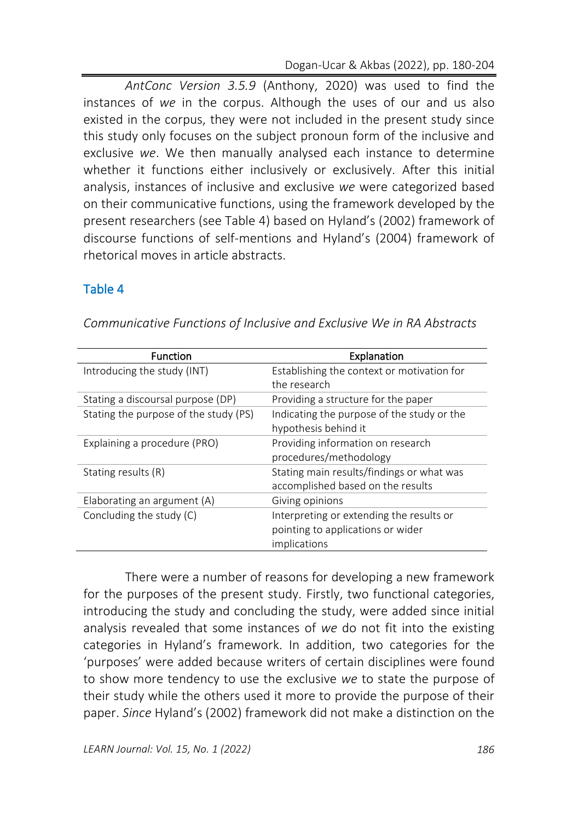*AntConc Version 3.5.9* (Anthony, 2020) was used to find the instances of *we* in the corpus. Although the uses of our and us also existed in the corpus, they were not included in the present study since this study only focuses on the subject pronoun form of the inclusive and exclusive *we*. We then manually analysed each instance to determine whether it functions either inclusively or exclusively. After this initial analysis, instances of inclusive and exclusive *we* were categorized based on their communicative functions, using the framework developed by the present researchers (see Table 4) based on Hyland's (2002) framework of discourse functions of self-mentions and Hyland's (2004) framework of rhetorical moves in article abstracts.

## Table 4

| <b>Function</b>                       | Explanation                                |
|---------------------------------------|--------------------------------------------|
| Introducing the study (INT)           | Establishing the context or motivation for |
|                                       | the research                               |
| Stating a discoursal purpose (DP)     | Providing a structure for the paper        |
| Stating the purpose of the study (PS) | Indicating the purpose of the study or the |
|                                       | hypothesis behind it                       |
| Explaining a procedure (PRO)          | Providing information on research          |
|                                       | procedures/methodology                     |
| Stating results (R)                   | Stating main results/findings or what was  |
|                                       | accomplished based on the results          |
| Elaborating an argument (A)           | Giving opinions                            |
| Concluding the study (C)              | Interpreting or extending the results or   |
|                                       | pointing to applications or wider          |
|                                       | implications                               |

*Communicative Functions of Inclusive and Exclusive We in RA Abstracts*

There were a number of reasons for developing a new framework for the purposes of the present study. Firstly, two functional categories, introducing the study and concluding the study, were added since initial analysis revealed that some instances of *we* do not fit into the existing categories in Hyland's framework. In addition, two categories for the 'purposes' were added because writers of certain disciplines were found to show more tendency to use the exclusive *we* to state the purpose of their study while the others used it more to provide the purpose of their paper. *Since* Hyland's (2002) framework did not make a distinction on the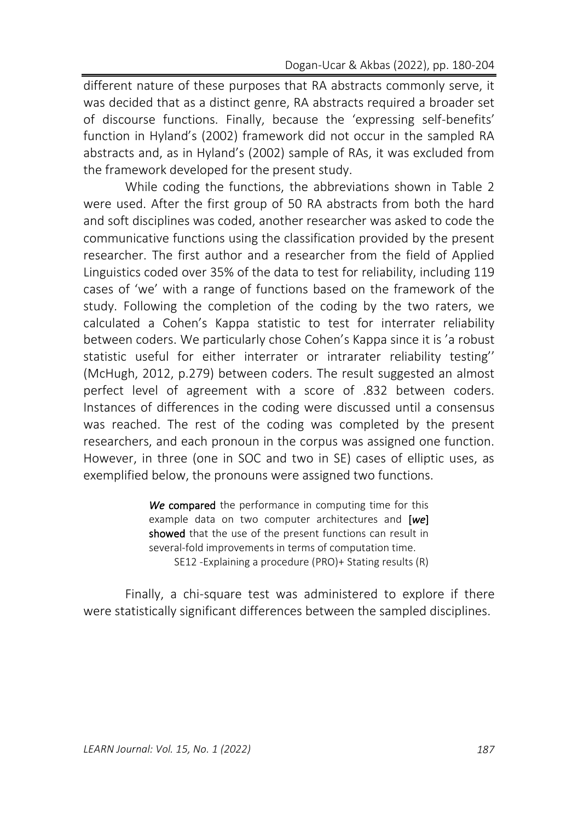different nature of these purposes that RA abstracts commonly serve, it was decided that as a distinct genre, RA abstracts required a broader set of discourse functions. Finally, because the 'expressing self-benefits' function in Hyland's (2002) framework did not occur in the sampled RA abstracts and, as in Hyland's (2002) sample of RAs, it was excluded from the framework developed for the present study.

While coding the functions, the abbreviations shown in Table 2 were used. After the first group of 50 RA abstracts from both the hard and soft disciplines was coded, another researcher was asked to code the communicative functions using the classification provided by the present researcher. The first author and a researcher from the field of Applied Linguistics coded over 35% of the data to test for reliability, including 119 cases of 'we' with a range of functions based on the framework of the study. Following the completion of the coding by the two raters, we calculated a Cohen's Kappa statistic to test for interrater reliability between coders. We particularly chose Cohen's Kappa since it is 'a robust statistic useful for either interrater or intrarater reliability testing'' (McHugh, 2012, p.279) between coders. The result suggested an almost perfect level of agreement with a score of .832 between coders. Instances of differences in the coding were discussed until a consensus was reached. The rest of the coding was completed by the present researchers, and each pronoun in the corpus was assigned one function. However, in three (one in SOC and two in SE) cases of elliptic uses, as exemplified below, the pronouns were assigned two functions.

> *We* compared the performance in computing time for this example data on two computer architectures and [*we*] showed that the use of the present functions can result in several-fold improvements in terms of computation time. SE12 -Explaining a procedure (PRO)+ Stating results (R)

Finally, a chi-square test was administered to explore if there were statistically significant differences between the sampled disciplines.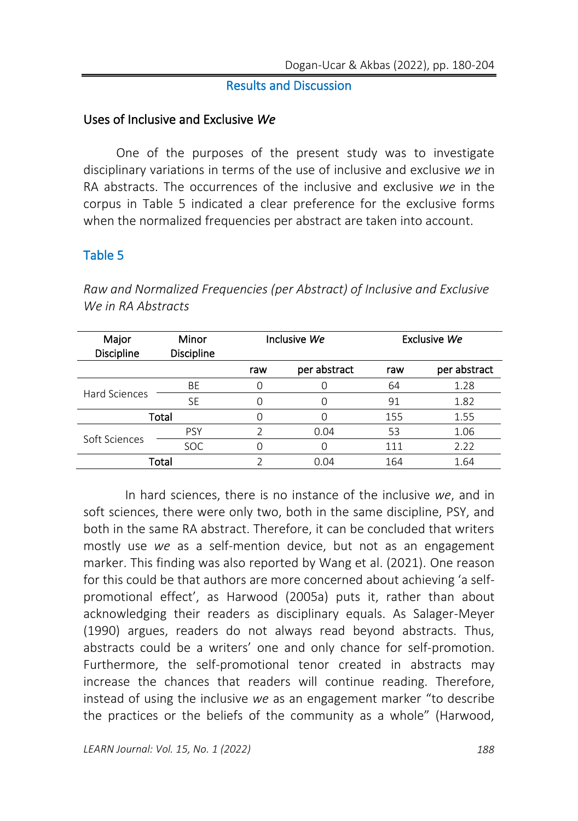#### Results and Discussion

#### Uses of Inclusive and Exclusive *We*

One of the purposes of the present study was to investigate disciplinary variations in terms of the use of inclusive and exclusive *we* in RA abstracts. The occurrences of the inclusive and exclusive *we* in the corpus in Table 5 indicated a clear preference for the exclusive forms when the normalized frequencies per abstract are taken into account.

## Table 5

| Major<br><b>Discipline</b> | Minor<br>Discipline | Inclusive We |              | Exclusive We |              |
|----------------------------|---------------------|--------------|--------------|--------------|--------------|
|                            |                     | raw          | per abstract | raw          | per abstract |
| Hard Sciences              | BE                  |              |              | 64           | 1.28         |
|                            | <b>SE</b>           | 0            | Ω            | 91           | 1.82         |
| Total                      |                     | 0            |              | 155          | 1.55         |
| Soft Sciences              | <b>PSY</b>          | 2            | 0.04         | 53           | 1.06         |
|                            | <b>SOC</b>          | 0            | U            | 111          | 2.22         |
| Total                      |                     | ว            | 0.04         | 164          | 1.64         |

*Raw and Normalized Frequencies (per Abstract) of Inclusive and Exclusive We in RA Abstracts*

In hard sciences, there is no instance of the inclusive *we*, and in soft sciences, there were only two, both in the same discipline, PSY, and both in the same RA abstract. Therefore, it can be concluded that writers mostly use *we* as a self-mention device, but not as an engagement marker. This finding was also reported by Wang et al. (2021). One reason for this could be that authors are more concerned about achieving 'a selfpromotional effect', as Harwood (2005a) puts it, rather than about acknowledging their readers as disciplinary equals. As Salager-Meyer (1990) argues, readers do not always read beyond abstracts. Thus, abstracts could be a writers' one and only chance for self-promotion. Furthermore, the self-promotional tenor created in abstracts may increase the chances that readers will continue reading. Therefore, instead of using the inclusive *we* as an engagement marker "to describe the practices or the beliefs of the community as a whole" (Harwood,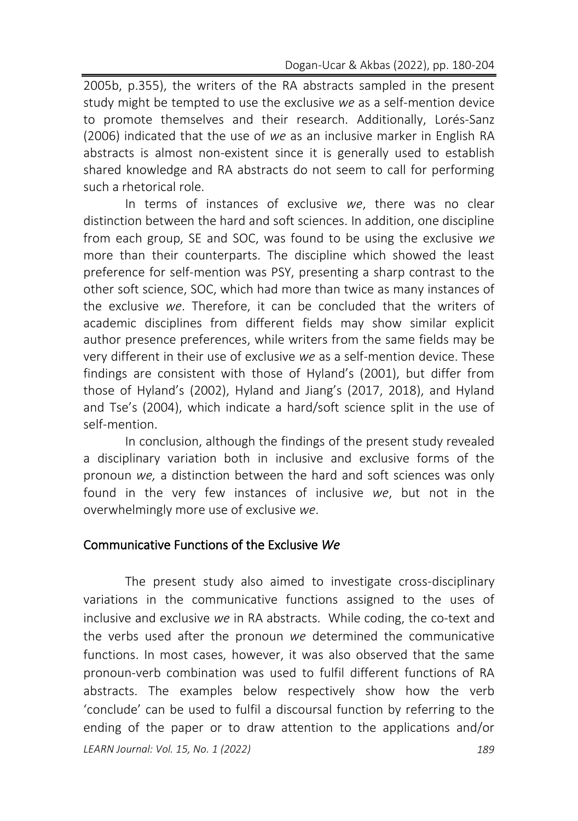2005b, p.355), the writers of the RA abstracts sampled in the present study might be tempted to use the exclusive *we* as a self-mention device to promote themselves and their research. Additionally, Lorés-Sanz (2006) indicated that the use of *we* as an inclusive marker in English RA abstracts is almost non-existent since it is generally used to establish shared knowledge and RA abstracts do not seem to call for performing such a rhetorical role.

In terms of instances of exclusive *we*, there was no clear distinction between the hard and soft sciences. In addition, one discipline from each group, SE and SOC, was found to be using the exclusive *we*  more than their counterparts. The discipline which showed the least preference for self-mention was PSY, presenting a sharp contrast to the other soft science, SOC, which had more than twice as many instances of the exclusive *we*. Therefore, it can be concluded that the writers of academic disciplines from different fields may show similar explicit author presence preferences, while writers from the same fields may be very different in their use of exclusive *we* as a self-mention device. These findings are consistent with those of Hyland's (2001), but differ from those of Hyland's (2002), Hyland and Jiang's (2017, 2018), and Hyland and Tse's (2004), which indicate a hard/soft science split in the use of self-mention.

In conclusion, although the findings of the present study revealed a disciplinary variation both in inclusive and exclusive forms of the pronoun *we,* a distinction between the hard and soft sciences was only found in the very few instances of inclusive *we*, but not in the overwhelmingly more use of exclusive *we*.

### Communicative Functions of the Exclusive *We*

*LEARN Journal: Vol. 15, No. 1 (2022) 189* The present study also aimed to investigate cross-disciplinary variations in the communicative functions assigned to the uses of inclusive and exclusive *we* in RA abstracts. While coding, the co-text and the verbs used after the pronoun *we* determined the communicative functions. In most cases, however, it was also observed that the same pronoun-verb combination was used to fulfil different functions of RA abstracts. The examples below respectively show how the verb 'conclude' can be used to fulfil a discoursal function by referring to the ending of the paper or to draw attention to the applications and/or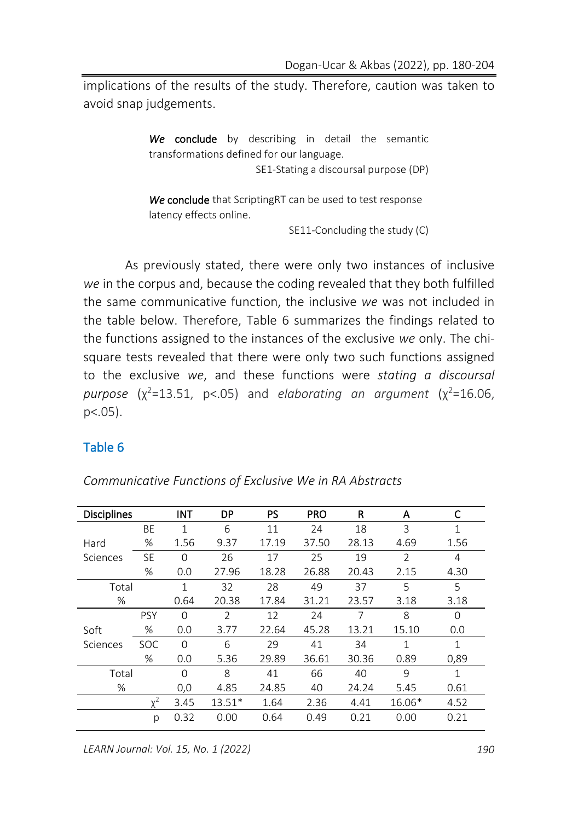implications of the results of the study. Therefore, caution was taken to avoid snap judgements.

> We conclude by describing in detail the semantic transformations defined for our language. SE1-Stating a discoursal purpose (DP)

*We* conclude that ScriptingRT can be used to test response latency effects online.

SE11-Concluding the study (C)

As previously stated, there were only two instances of inclusive *we* in the corpus and, because the coding revealed that they both fulfilled the same communicative function, the inclusive *we* was not included in the table below. Therefore, Table 6 summarizes the findings related to the functions assigned to the instances of the exclusive *we* only. The chisquare tests revealed that there were only two such functions assigned to the exclusive *we*, and these functions were *stating a discoursal*   $p$ urpose  $(\chi^2=13.51, p<0.05)$  and *elaborating an argument*  $(\chi^2=16.06, p$  $p<.05$ ).

### Table 6

| <b>Disciplines</b> |            | <b>INT</b>   | <b>DP</b>      | <b>PS</b> | <b>PRO</b> | R     | A              | C            |
|--------------------|------------|--------------|----------------|-----------|------------|-------|----------------|--------------|
|                    | <b>BE</b>  | $\mathbf{1}$ | 6              | 11        | 24         | 18    | 3              | $\mathbf{1}$ |
| Hard               | %          | 1.56         | 9.37           | 17.19     | 37.50      | 28.13 | 4.69           | 1.56         |
| Sciences           | <b>SE</b>  | $\Omega$     | 26             | 17        | 25         | 19    | $\overline{2}$ | 4            |
|                    | %          | 0.0          | 27.96          | 18.28     | 26.88      | 20.43 | 2.15           | 4.30         |
| Total              |            | $\mathbf{1}$ | 32             | 28        | 49         | 37    | 5              | 5            |
| %                  |            | 0.64         | 20.38          | 17.84     | 31.21      | 23.57 | 3.18           | 3.18         |
|                    | <b>PSY</b> | $\Omega$     | $\overline{2}$ | 12        | 24         | 7     | 8              | $\Omega$     |
| Soft               | $\%$       | 0.0          | 3.77           | 22.64     | 45.28      | 13.21 | 15.10          | 0.0          |
| Sciences           | <b>SOC</b> | $\Omega$     | 6              | 29        | 41         | 34    | $\mathbf{1}$   | $\mathbf{1}$ |
|                    | $\%$       | 0.0          | 5.36           | 29.89     | 36.61      | 30.36 | 0.89           | 0,89         |
| Total              |            | $\Omega$     | 8              | 41        | 66         | 40    | 9              | 1            |
| %                  |            | 0,0          | 4.85           | 24.85     | 40         | 24.24 | 5.45           | 0.61         |
|                    | $v^2$      | 3.45         | $13.51*$       | 1.64      | 2.36       | 4.41  | 16.06*         | 4.52         |
|                    | р          | 0.32         | 0.00           | 0.64      | 0.49       | 0.21  | 0.00           | 0.21         |

*Communicative Functions of Exclusive We in RA Abstracts*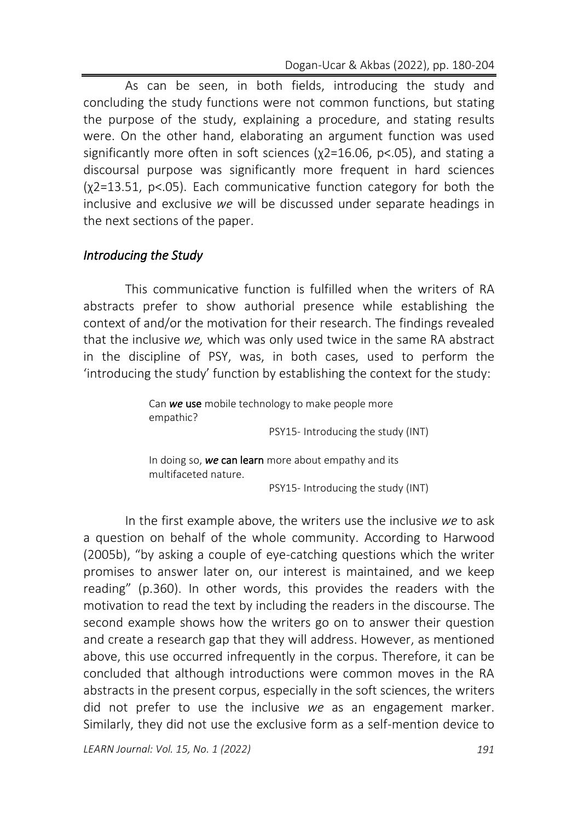As can be seen, in both fields, introducing the study and concluding the study functions were not common functions, but stating the purpose of the study, explaining a procedure, and stating results were. On the other hand, elaborating an argument function was used significantly more often in soft sciences (χ2=16.06, p<.05), and stating a discoursal purpose was significantly more frequent in hard sciences (χ2=13.51, p<.05). Each communicative function category for both the inclusive and exclusive *we* will be discussed under separate headings in the next sections of the paper.

## *Introducing the Study*

This communicative function is fulfilled when the writers of RA abstracts prefer to show authorial presence while establishing the context of and/or the motivation for their research. The findings revealed that the inclusive *we,* which was only used twice in the same RA abstract in the discipline of PSY, was, in both cases, used to perform the 'introducing the study' function by establishing the context for the study:

> Can *we* use mobile technology to make people more empathic?

PSY15- Introducing the study (INT)

 In doing so, *we* can learn more about empathy and its multifaceted nature.

PSY15- Introducing the study (INT)

In the first example above, the writers use the inclusive *we* to ask a question on behalf of the whole community. According to Harwood (2005b), "by asking a couple of eye-catching questions which the writer promises to answer later on, our interest is maintained, and we keep reading" (p.360). In other words, this provides the readers with the motivation to read the text by including the readers in the discourse. The second example shows how the writers go on to answer their question and create a research gap that they will address. However, as mentioned above, this use occurred infrequently in the corpus. Therefore, it can be concluded that although introductions were common moves in the RA abstracts in the present corpus, especially in the soft sciences, the writers did not prefer to use the inclusive *we* as an engagement marker. Similarly, they did not use the exclusive form as a self-mention device to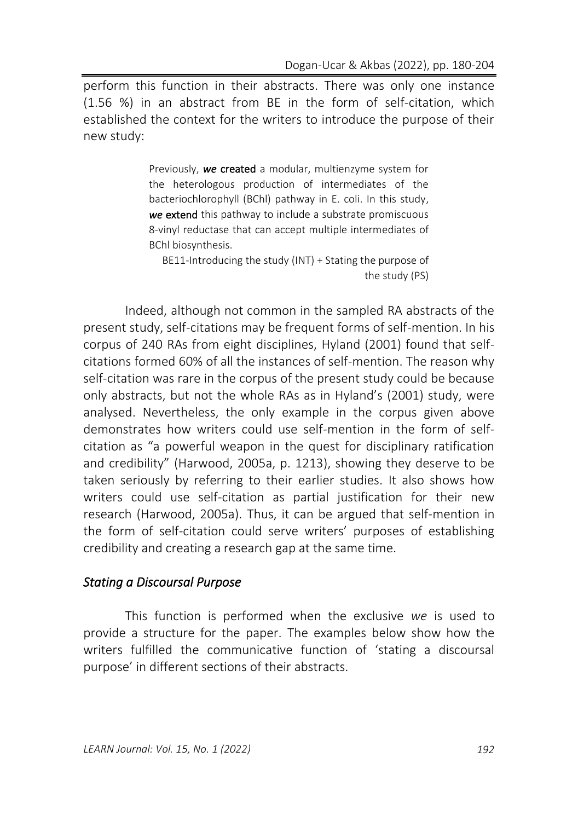perform this function in their abstracts. There was only one instance (1.56 %) in an abstract from BE in the form of self-citation, which established the context for the writers to introduce the purpose of their new study:

> Previously, *we* created a modular, multienzyme system for the heterologous production of intermediates of the bacteriochlorophyll (BChl) pathway in E. coli. In this study, *we* extend this pathway to include a substrate promiscuous 8-vinyl reductase that can accept multiple intermediates of BChl biosynthesis.

BE11-Introducing the study (INT) + Stating the purpose of the study (PS)

Indeed, although not common in the sampled RA abstracts of the present study, self-citations may be frequent forms of self-mention. In his corpus of 240 RAs from eight disciplines, Hyland (2001) found that selfcitations formed 60% of all the instances of self-mention. The reason why self-citation was rare in the corpus of the present study could be because only abstracts, but not the whole RAs as in Hyland's (2001) study, were analysed. Nevertheless, the only example in the corpus given above demonstrates how writers could use self-mention in the form of selfcitation as "a powerful weapon in the quest for disciplinary ratification and credibility" (Harwood, 2005a, p. 1213), showing they deserve to be taken seriously by referring to their earlier studies. It also shows how writers could use self-citation as partial justification for their new research (Harwood, 2005a). Thus, it can be argued that self-mention in the form of self-citation could serve writers' purposes of establishing credibility and creating a research gap at the same time.

#### *Stating a Discoursal Purpose*

This function is performed when the exclusive *we* is used to provide a structure for the paper. The examples below show how the writers fulfilled the communicative function of 'stating a discoursal purpose' in different sections of their abstracts.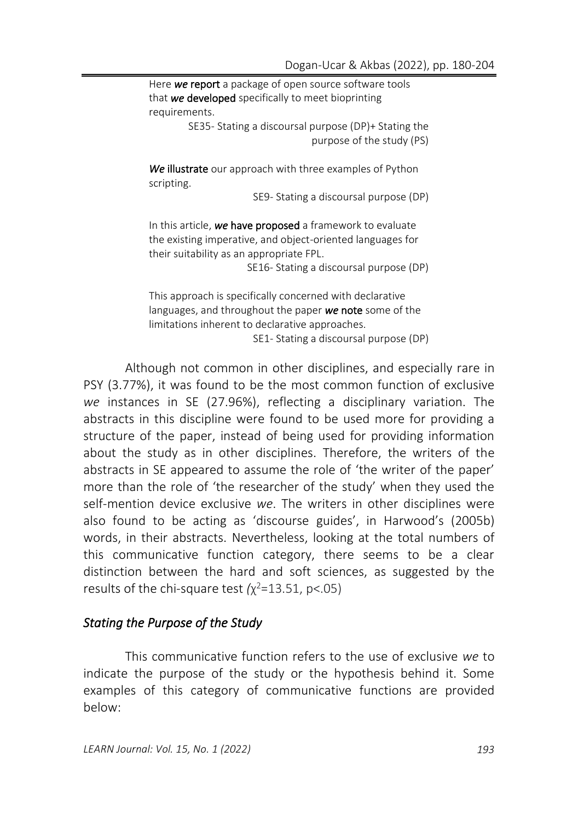Here *we* report a package of open source software tools that *we* developed specifically to meet bioprinting requirements. SE35- Stating a discoursal purpose (DP)+ Stating the

purpose of the study (PS)

*We* illustrate our approach with three examples of Python scripting.

SE9- Stating a discoursal purpose (DP)

In this article, *we* have proposed a framework to evaluate the existing imperative, and object-oriented languages for their suitability as an appropriate FPL.

SE16- Stating a discoursal purpose (DP)

This approach is specifically concerned with declarative languages, and throughout the paper *we* note some of the limitations inherent to declarative approaches. SE1- Stating a discoursal purpose (DP)

Although not common in other disciplines, and especially rare in PSY (3.77%), it was found to be the most common function of exclusive *we* instances in SE (27.96%), reflecting a disciplinary variation. The abstracts in this discipline were found to be used more for providing a structure of the paper, instead of being used for providing information about the study as in other disciplines. Therefore, the writers of the abstracts in SE appeared to assume the role of 'the writer of the paper' more than the role of 'the researcher of the study' when they used the self-mention device exclusive *we*. The writers in other disciplines were also found to be acting as 'discourse guides', in Harwood's (2005b) words, in their abstracts. Nevertheless, looking at the total numbers of this communicative function category, there seems to be a clear distinction between the hard and soft sciences, as suggested by the results of the chi-square test  $(\chi^2=13.51, p<.05)$ 

#### *Stating the Purpose of the Study*

This communicative function refers to the use of exclusive *we* to indicate the purpose of the study or the hypothesis behind it. Some examples of this category of communicative functions are provided below: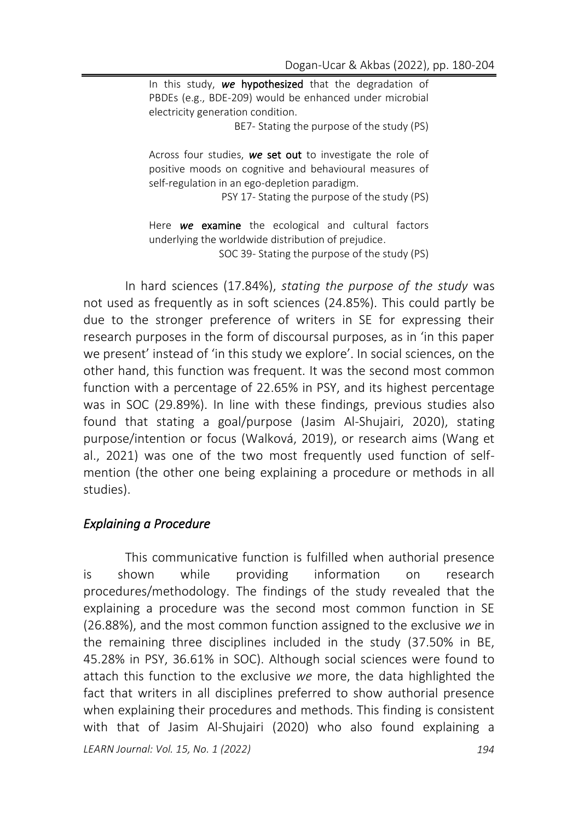In this study, *we* hypothesized that the degradation of PBDEs (e.g., BDE-209) would be enhanced under microbial electricity generation condition.

BE7- Stating the purpose of the study (PS)

Across four studies, *we* set out to investigate the role of positive moods on cognitive and behavioural measures of self-regulation in an ego-depletion paradigm.

PSY 17- Stating the purpose of the study (PS)

Here *we* examine the ecological and cultural factors underlying the worldwide distribution of prejudice. SOC 39- Stating the purpose of the study (PS)

In hard sciences (17.84%), *stating the purpose of the study* was not used as frequently as in soft sciences (24.85%). This could partly be due to the stronger preference of writers in SE for expressing their research purposes in the form of discoursal purposes, as in 'in this paper we present' instead of 'in this study we explore'. In social sciences, on the other hand, this function was frequent. It was the second most common function with a percentage of 22.65% in PSY, and its highest percentage was in SOC (29.89%). In line with these findings, previous studies also found that stating a goal/purpose (Jasim Al-Shujairi, 2020), stating purpose/intention or focus (Walková, 2019), or research aims (Wang et al., 2021) was one of the two most frequently used function of selfmention (the other one being explaining a procedure or methods in all studies).

### *Explaining a Procedure*

This communicative function is fulfilled when authorial presence is shown while providing information on research procedures/methodology. The findings of the study revealed that the explaining a procedure was the second most common function in SE (26.88%), and the most common function assigned to the exclusive *we* in the remaining three disciplines included in the study (37.50% in BE, 45.28% in PSY, 36.61% in SOC). Although social sciences were found to attach this function to the exclusive *we* more, the data highlighted the fact that writers in all disciplines preferred to show authorial presence when explaining their procedures and methods. This finding is consistent with that of Jasim Al-Shujairi (2020) who also found explaining a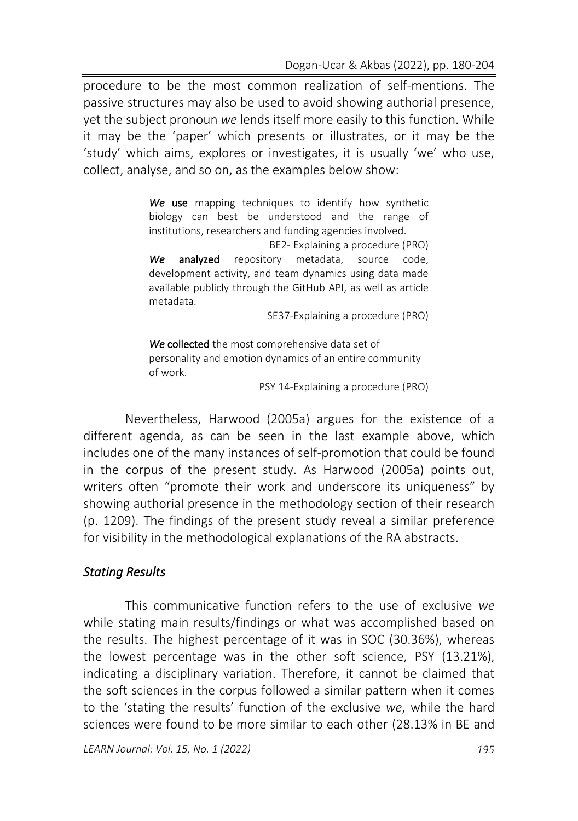procedure to be the most common realization of self-mentions. The passive structures may also be used to avoid showing authorial presence, yet the subject pronoun *we* lends itself more easily to this function. While it may be the 'paper' which presents or illustrates, or it may be the 'study' which aims, explores or investigates, it is usually 'we' who use, collect, analyse, and so on, as the examples below show:

> We use mapping techniques to identify how synthetic biology can best be understood and the range of institutions, researchers and funding agencies involved.

> BE2- Explaining a procedure (PRO) *We* analyzed repository metadata, source code, development activity, and team dynamics using data made available publicly through the GitHub API, as well as article metadata.

> > SE37-Explaining a procedure (PRO)

*We* collected the most comprehensive data set of personality and emotion dynamics of an entire community of work.

PSY 14-Explaining a procedure (PRO)

Nevertheless, Harwood (2005a) argues for the existence of a different agenda, as can be seen in the last example above, which includes one of the many instances of self-promotion that could be found in the corpus of the present study. As Harwood (2005a) points out, writers often "promote their work and underscore its uniqueness" by showing authorial presence in the methodology section of their research (p. 1209). The findings of the present study reveal a similar preference for visibility in the methodological explanations of the RA abstracts.

### *Stating Results*

This communicative function refers to the use of exclusive *we* while stating main results/findings or what was accomplished based on the results. The highest percentage of it was in SOC (30.36%), whereas the lowest percentage was in the other soft science, PSY (13.21%), indicating a disciplinary variation. Therefore, it cannot be claimed that the soft sciences in the corpus followed a similar pattern when it comes to the 'stating the results' function of the exclusive *we*, while the hard sciences were found to be more similar to each other (28.13% in BE and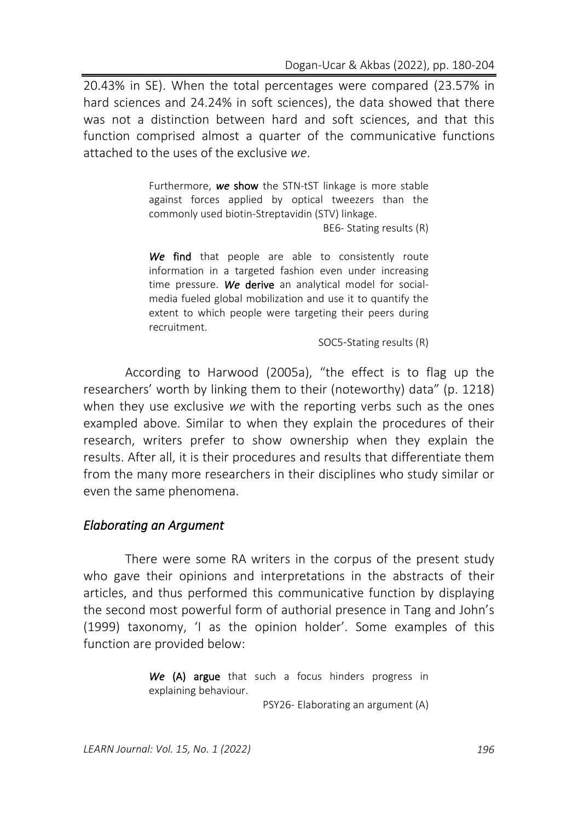20.43% in SE). When the total percentages were compared (23.57% in hard sciences and 24.24% in soft sciences), the data showed that there was not a distinction between hard and soft sciences, and that this function comprised almost a quarter of the communicative functions attached to the uses of the exclusive *we*.

> Furthermore, *we* show the STN-tST linkage is more stable against forces applied by optical tweezers than the commonly used biotin-Streptavidin (STV) linkage.

> > BE6- Stating results (R)

We find that people are able to consistently route information in a targeted fashion even under increasing time pressure. *We* derive an analytical model for socialmedia fueled global mobilization and use it to quantify the extent to which people were targeting their peers during recruitment.

SOC5-Stating results (R)

According to Harwood (2005a), "the effect is to flag up the researchers' worth by linking them to their (noteworthy) data" (p. 1218) when they use exclusive *we* with the reporting verbs such as the ones exampled above. Similar to when they explain the procedures of their research, writers prefer to show ownership when they explain the results. After all, it is their procedures and results that differentiate them from the many more researchers in their disciplines who study similar or even the same phenomena.

#### *Elaborating an Argument*

There were some RA writers in the corpus of the present study who gave their opinions and interpretations in the abstracts of their articles, and thus performed this communicative function by displaying the second most powerful form of authorial presence in Tang and John's (1999) taxonomy, 'I as the opinion holder'. Some examples of this function are provided below:

> We (A) argue that such a focus hinders progress in explaining behaviour. PSY26- Elaborating an argument (A)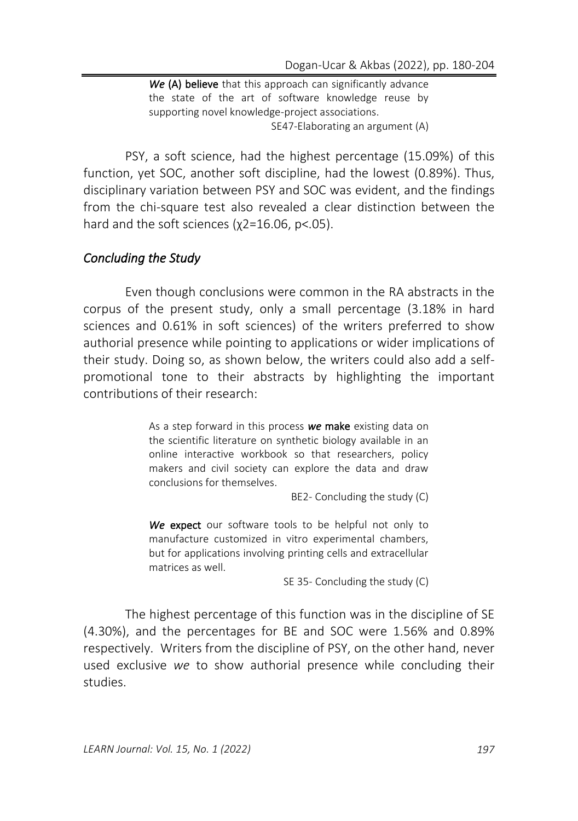*We* (A) believe that this approach can significantly advance the state of the art of software knowledge reuse by supporting novel knowledge-project associations. SE47-Elaborating an argument (A)

PSY, a soft science, had the highest percentage (15.09%) of this function, yet SOC, another soft discipline, had the lowest (0.89%). Thus, disciplinary variation between PSY and SOC was evident, and the findings from the chi-square test also revealed a clear distinction between the hard and the soft sciences (χ2=16.06, p<.05).

## *Concluding the Study*

Even though conclusions were common in the RA abstracts in the corpus of the present study, only a small percentage (3.18% in hard sciences and 0.61% in soft sciences) of the writers preferred to show authorial presence while pointing to applications or wider implications of their study. Doing so, as shown below, the writers could also add a selfpromotional tone to their abstracts by highlighting the important contributions of their research:

> As a step forward in this process *we* make existing data on the scientific literature on synthetic biology available in an online interactive workbook so that researchers, policy makers and civil society can explore the data and draw conclusions for themselves.

> > BE2- Concluding the study (C)

*We* expect our software tools to be helpful not only to manufacture customized in vitro experimental chambers, but for applications involving printing cells and extracellular matrices as well.

SE 35- Concluding the study (C)

The highest percentage of this function was in the discipline of SE (4.30%), and the percentages for BE and SOC were 1.56% and 0.89% respectively. Writers from the discipline of PSY, on the other hand, never used exclusive *we* to show authorial presence while concluding their studies.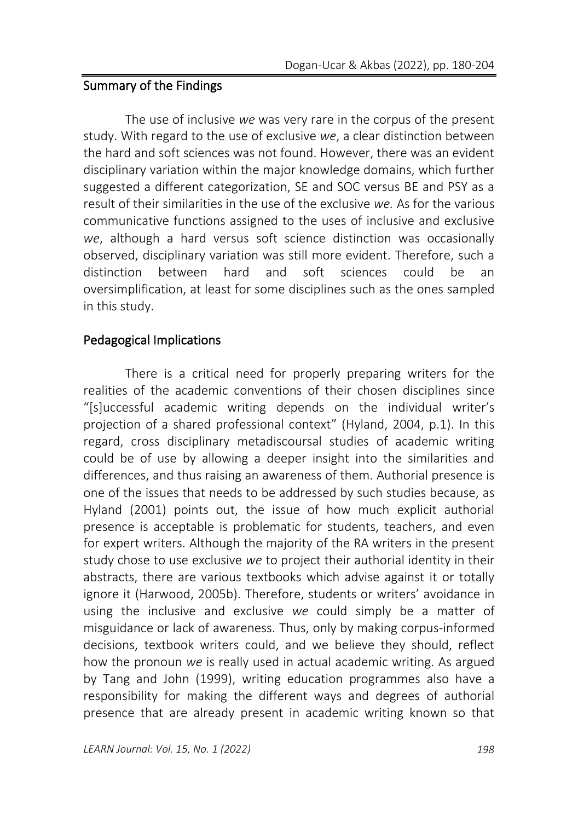## Summary of the Findings

The use of inclusive *we* was very rare in the corpus of the present study. With regard to the use of exclusive *we*, a clear distinction between the hard and soft sciences was not found. However, there was an evident disciplinary variation within the major knowledge domains, which further suggested a different categorization, SE and SOC versus BE and PSY as a result of their similarities in the use of the exclusive *we.* As for the various communicative functions assigned to the uses of inclusive and exclusive *we*, although a hard versus soft science distinction was occasionally observed, disciplinary variation was still more evident. Therefore, such a distinction between hard and soft sciences could be an oversimplification, at least for some disciplines such as the ones sampled in this study.

## Pedagogical Implications

There is a critical need for properly preparing writers for the realities of the academic conventions of their chosen disciplines since "[s]uccessful academic writing depends on the individual writer's projection of a shared professional context" (Hyland, 2004, p.1). In this regard, cross disciplinary metadiscoursal studies of academic writing could be of use by allowing a deeper insight into the similarities and differences, and thus raising an awareness of them. Authorial presence is one of the issues that needs to be addressed by such studies because, as Hyland (2001) points out, the issue of how much explicit authorial presence is acceptable is problematic for students, teachers, and even for expert writers. Although the majority of the RA writers in the present study chose to use exclusive *we* to project their authorial identity in their abstracts, there are various textbooks which advise against it or totally ignore it (Harwood, 2005b). Therefore, students or writers' avoidance in using the inclusive and exclusive *we* could simply be a matter of misguidance or lack of awareness. Thus, only by making corpus-informed decisions, textbook writers could, and we believe they should, reflect how the pronoun *we* is really used in actual academic writing. As argued by Tang and John (1999), writing education programmes also have a responsibility for making the different ways and degrees of authorial presence that are already present in academic writing known so that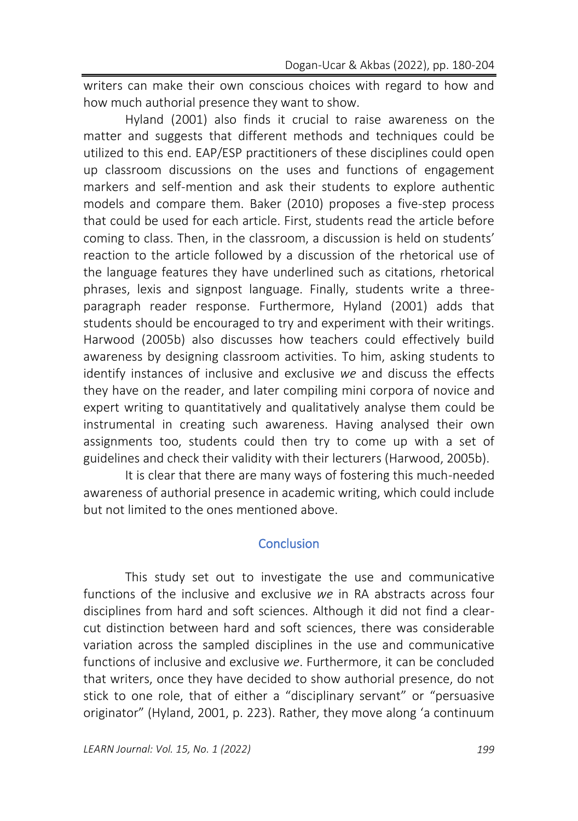writers can make their own conscious choices with regard to how and how much authorial presence they want to show.

Hyland (2001) also finds it crucial to raise awareness on the matter and suggests that different methods and techniques could be utilized to this end. EAP/ESP practitioners of these disciplines could open up classroom discussions on the uses and functions of engagement markers and self-mention and ask their students to explore authentic models and compare them. Baker (2010) proposes a five-step process that could be used for each article. First, students read the article before coming to class. Then, in the classroom, a discussion is held on students' reaction to the article followed by a discussion of the rhetorical use of the language features they have underlined such as citations, rhetorical phrases, lexis and signpost language. Finally, students write a threeparagraph reader response. Furthermore, Hyland (2001) adds that students should be encouraged to try and experiment with their writings. Harwood (2005b) also discusses how teachers could effectively build awareness by designing classroom activities. To him, asking students to identify instances of inclusive and exclusive *we* and discuss the effects they have on the reader, and later compiling mini corpora of novice and expert writing to quantitatively and qualitatively analyse them could be instrumental in creating such awareness. Having analysed their own assignments too, students could then try to come up with a set of guidelines and check their validity with their lecturers (Harwood, 2005b).

It is clear that there are many ways of fostering this much-needed awareness of authorial presence in academic writing, which could include but not limited to the ones mentioned above.

### **Conclusion**

This study set out to investigate the use and communicative functions of the inclusive and exclusive *we* in RA abstracts across four disciplines from hard and soft sciences. Although it did not find a clearcut distinction between hard and soft sciences, there was considerable variation across the sampled disciplines in the use and communicative functions of inclusive and exclusive *we*. Furthermore, it can be concluded that writers, once they have decided to show authorial presence, do not stick to one role, that of either a "disciplinary servant" or "persuasive originator" (Hyland, 2001, p. 223). Rather, they move along 'a continuum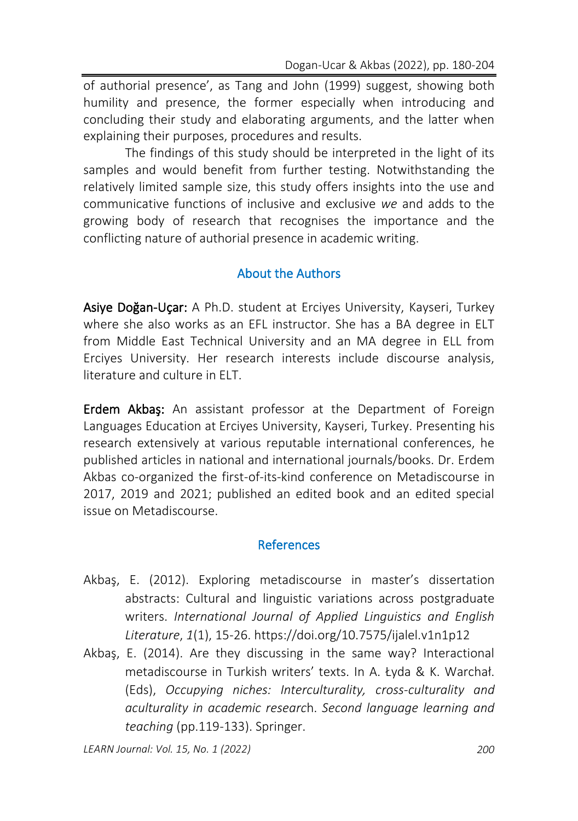of authorial presence', as Tang and John (1999) suggest, showing both humility and presence, the former especially when introducing and concluding their study and elaborating arguments, and the latter when explaining their purposes, procedures and results.

The findings of this study should be interpreted in the light of its samples and would benefit from further testing. Notwithstanding the relatively limited sample size, this study offers insights into the use and communicative functions of inclusive and exclusive *we* and adds to the growing body of research that recognises the importance and the conflicting nature of authorial presence in academic writing.

## About the Authors

Asiye Doğan-Uçar: A Ph.D. student at Erciyes University, Kayseri, Turkey where she also works as an EFL instructor. She has a BA degree in ELT from Middle East Technical University and an MA degree in ELL from Erciyes University. Her research interests include discourse analysis, literature and culture in ELT.

Erdem Akbaş: An assistant professor at the Department of Foreign Languages Education at Erciyes University, Kayseri, Turkey. Presenting his research extensively at various reputable international conferences, he published articles in national and international journals/books. Dr. Erdem Akbas co-organized the first-of-its-kind conference on Metadiscourse in 2017, 2019 and 2021; published an edited book and an edited special issue on Metadiscourse.

### References

- Akbaş, E. (2012). Exploring metadiscourse in master's dissertation abstracts: Cultural and linguistic variations across postgraduate writers. *International Journal of Applied Linguistics and English Literature*, *1*(1), 15-26. <https://doi.org/10.7575/ijalel.v1n1p12>
- Akbaş, E. (2014). Are they discussing in the same way? Interactional metadiscourse in Turkish writers' texts. In A. Łyda & K. Warchał. (Eds), *Occupying niches: Interculturality, cross-culturality and aculturality in academic researc*h. *Second language learning and teaching* (pp.119-133). Springer.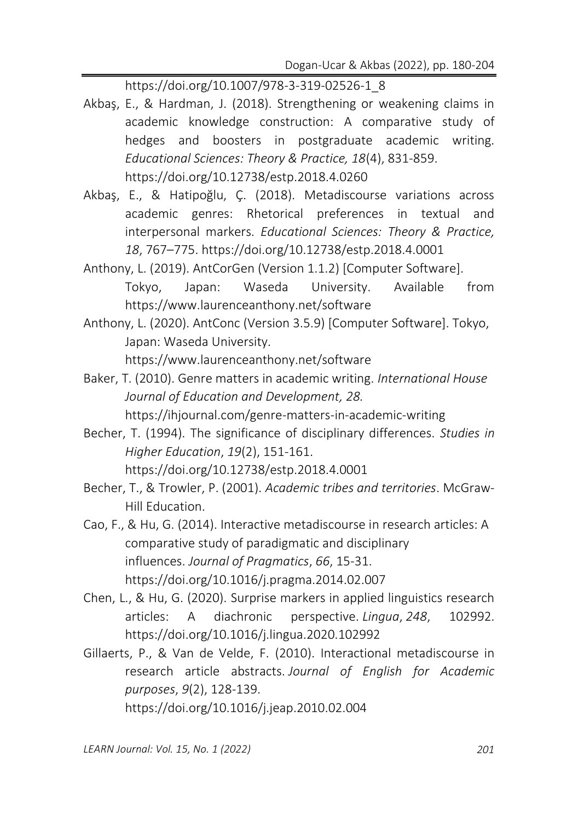[https://doi.org/10.1007/978-3-319-02526-1\\_8](https://doi.org/10.1007/978-3-319-02526-1_8)

- Akbaş, E., & Hardman, J. (2018). Strengthening or weakening claims in academic knowledge construction: A comparative study of hedges and boosters in postgraduate academic writing. *Educational Sciences: Theory & Practice, 18*(4), 831-859. <https://doi.org/10.12738/estp.2018.4.0260>
- Akbaş, E., & Hatipoğlu, Ç. (2018). Metadiscourse variations across academic genres: Rhetorical preferences in textual and interpersonal markers. *Educational Sciences: Theory & Practice, 18*, 767–775. <https://doi.org/10.12738/estp.2018.4.0001>
- Anthony, L. (2019). AntCorGen (Version 1.1.2) [Computer Software]. Tokyo, Japan: Waseda University. Available from <https://www.laurenceanthony.net/software>
- Anthony, L. (2020). AntConc (Version 3.5.9) [Computer Software]. Tokyo, Japan: Waseda University. <https://www.laurenceanthony.net/software>
- Baker, T. (2010). Genre matters in academic writing. *International House Journal of Education and Development, 28.*

<https://ihjournal.com/genre-matters-in-academic-writing>

Becher, T. (1994). The significance of disciplinary differences. *Studies in Higher Education*, *19*(2), 151-161.

<https://doi.org/10.12738/estp.2018.4.0001>

- Becher, T., & Trowler, P. (2001). *Academic tribes and territories*. McGraw-Hill Education.
- Cao, F., & Hu, G. (2014). Interactive metadiscourse in research articles: A comparative study of paradigmatic and disciplinary influences. *Journal of Pragmatics*, *66*, 15-31. <https://doi.org/10.1016/j.pragma.2014.02.007>
- Chen, L., & Hu, G. (2020). Surprise markers in applied linguistics research articles: A diachronic perspective. *Lingua*, *248*, 102992. <https://doi.org/10.1016/j.lingua.2020.102992>
- Gillaerts, P., & Van de Velde, F. (2010). Interactional metadiscourse in research article abstracts. *Journal of English for Academic purposes*, *9*(2), 128-139. <https://doi.org/10.1016/j.jeap.2010.02.004>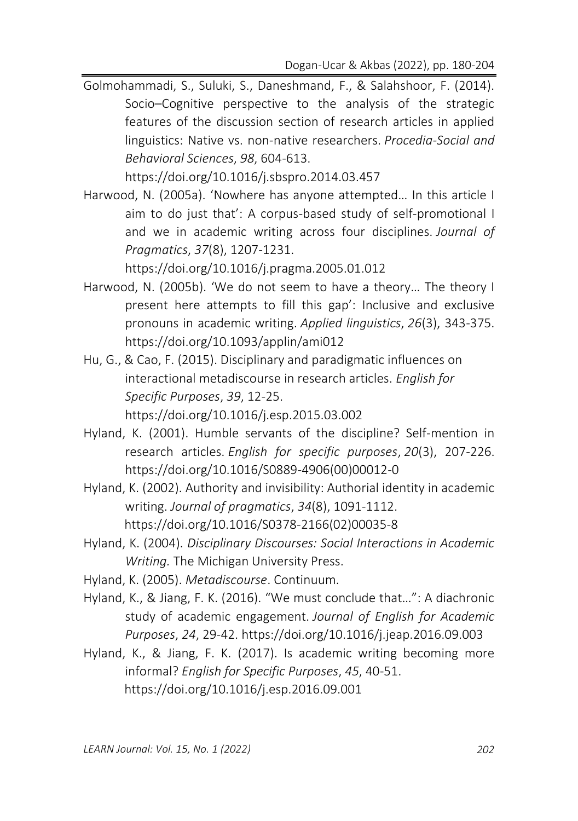Golmohammadi, S., Suluki, S., Daneshmand, F., & Salahshoor, F. (2014). Socio–Cognitive perspective to the analysis of the strategic features of the discussion section of research articles in applied linguistics: Native vs. non-native researchers. *Procedia-Social and Behavioral Sciences*, *98*, 604-613.

<https://doi.org/10.1016/j.sbspro.2014.03.457>

Harwood, N. (2005a). 'Nowhere has anyone attempted… In this article I aim to do just that': A corpus-based study of self-promotional I and we in academic writing across four disciplines. *Journal of Pragmatics*, *37*(8), 1207-1231.

<https://doi.org/10.1016/j.pragma.2005.01.012>

- Harwood, N. (2005b). 'We do not seem to have a theory… The theory I present here attempts to fill this gap': Inclusive and exclusive pronouns in academic writing. *Applied linguistics*, *26*(3), 343-375. <https://doi.org/10.1093/applin/ami012>
- Hu, G., & Cao, F. (2015). Disciplinary and paradigmatic influences on interactional metadiscourse in research articles. *English for Specific Purposes*, *39*, 12-25. https://doi.org/10.1016/j.esp.2015.03.002
- Hyland, K. (2001). Humble servants of the discipline? Self-mention in research articles. *English for specific purposes*, *20*(3), 207-226. [https://doi.org/10.1016/S0889-4906\(00\)00012-0](https://doi.org/10.1016/S0889-4906(00)00012-0)
- Hyland, K. (2002). Authority and invisibility: Authorial identity in academic writing. *Journal of pragmatics*, *34*(8), 1091-1112. [https://doi.org/10.1016/S0378-2166\(02\)00035-8](https://doi.org/10.1016/S0378-2166(02)00035-8)
- Hyland, K. (2004). *Disciplinary Discourses: Social Interactions in Academic Writing.* The Michigan University Press.
- Hyland, K. (2005). *Metadiscourse*. Continuum.
- Hyland, K., & Jiang, F. K. (2016). "We must conclude that…": A diachronic study of academic engagement. *Journal of English for Academic Purposes*, *24*, 29-42. <https://doi.org/10.1016/j.jeap.2016.09.003>
- Hyland, K., & Jiang, F. K. (2017). Is academic writing becoming more informal? *English for Specific Purposes*, *45*, 40-51. <https://doi.org/10.1016/j.esp.2016.09.001>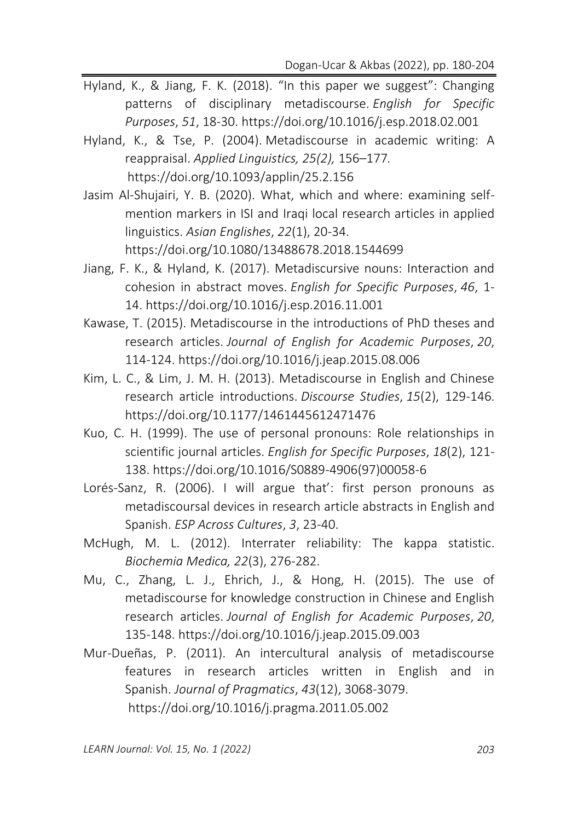- Hyland, K., & Jiang, F. K. (2018). "In this paper we suggest": Changing patterns of disciplinary metadiscourse. *English for Specific Purposes*, *51*, 18-30. <https://doi.org/10.1016/j.esp.2018.02.001>
- Hyland, K., & Tse, P. (2004). Metadiscourse in academic writing: A reappraisal. *Applied Linguistics, 25(2),* 156–177*.* <https://doi.org/10.1093/applin/25.2.156>
- Jasim Al-Shujairi, Y. B. (2020). What, which and where: examining selfmention markers in ISI and Iraqi local research articles in applied linguistics. *Asian Englishes*, *22*(1), 20-34. <https://doi.org/10.1080/>[13488678.2018.1544699](https://doi.org/10.1080/13488678.2018.1544699)
- Jiang, F. K., & Hyland, K. (2017). Metadiscursive nouns: Interaction and cohesion in abstract moves. *English for Specific Purposes*, *46*, 1- 14. <https://doi.org/10.1016/j.esp.2016.11.001>
- Kawase, T. (2015). Metadiscourse in the introductions of PhD theses and research articles. *Journal of English for Academic Purposes*, *20*, 114-124. <https://doi.org/10.1016/j.jeap.2015.08.006>
- Kim, L. C., & Lim, J. M. H. (2013). Metadiscourse in English and Chinese research article introductions. *Discourse Studies*, *15*(2), 129-146. <https://doi.org/10.1177/1461445612471476>
- Kuo, C. H. (1999). The use of personal pronouns: Role relationships in scientific journal articles. *English for Specific Purposes*, *18*(2), 121- 138. [https://doi.org/10.1016/S0889-4906\(97\)00058-6](https://doi.org/10.1016/S0889-4906(97)00058-6)
- Lorés-Sanz, R. (2006). I will argue that': first person pronouns as metadiscoursal devices in research article abstracts in English and Spanish. *ESP Across Cultures*, *3*, 23-40.
- McHugh, M. L. (2012). Interrater reliability: The kappa statistic. *Biochemia Medica, 22*(3), 276-282.
- Mu, C., Zhang, L. J., Ehrich, J., & Hong, H. (2015). The use of metadiscourse for knowledge construction in Chinese and English research articles. *Journal of English for Academic Purposes*, *20*, 135-148. <https://doi.org/10.1016/j.jeap.2015.09.003>
- Mur-Dueñas, P. (2011). An intercultural analysis of metadiscourse features in research articles written in English and in Spanish. *Journal of Pragmatics*, *43*(12), 3068-3079. <https://doi.org/10.1016/j.pragma.2011.05.002>